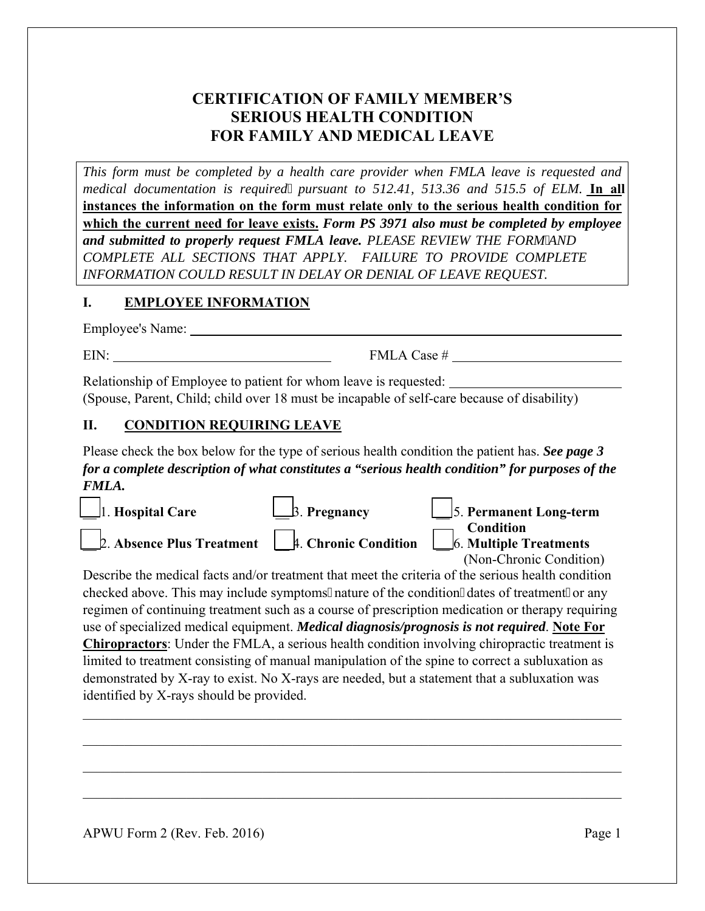## **CERTIFICATION OF FAMILY MEMBER'S SERIOUS HEALTH CONDITION FOR FAMILY AND MEDICAL LEAVE**

*This form must be completed by a health care provider when FMLA leave is requested and medical documentation is required pursuant to 512.41, 513.36 and 515.5 of ELM.* **In all instances the information on the form must relate only to the serious health condition for which the current need for leave exists.** *Form PS 3971 also must be completed by employee and submitted to properly request FMLA leave. PLEASE REVIEW THE FORMAND COMPLETE ALL SECTIONS THAT APPLY. FAILURE TO PROVIDE COMPLETE INFORMATION COULD RESULT IN DELAY OR DENIAL OF LEAVE REQUEST.* 

### **I. EMPLOYEE INFORMATION**

Employee's Name:

 $EIN:$  FMLA Case #

Relationship of Employee to patient for whom leave is requested: (Spouse, Parent, Child; child over 18 must be incapable of self-care because of disability)

### **II. CONDITION REQUIRING LEAVE**

Please check the box below for the type of serious health condition the patient has. *See page 3 for a complete description of what constitutes a "serious health condition" for purposes of the FMLA.*

| $\boxed{\phantom{1}}$ 1. Hospital Care                                                                       | $\Box$ 3. Pregnancy | $\boxed{\phantom{1}}$ 5. Permanent Long-term |
|--------------------------------------------------------------------------------------------------------------|---------------------|----------------------------------------------|
| <b>Example 1. Chronic Condition</b><br>2. Absence Plus Treatment 1. Chronic Condition 6. Multiple Treatments |                     | (Non-Chronic Condition)                      |

Describe the medical facts and/or treatment that meet the criteria of the serious health condition checked above. This may include symptoms, nature of the condition, dates of treatment, or any regimen of continuing treatment such as a course of prescription medication or therapy requiring use of specialized medical equipment. *Medical diagnosis/prognosis is not required*. **Note For Chiropractors**: Under the FMLA, a serious health condition involving chiropractic treatment is limited to treatment consisting of manual manipulation of the spine to correct a subluxation as demonstrated by X-ray to exist. No X-rays are needed, but a statement that a subluxation was identified by X-rays should be provided.

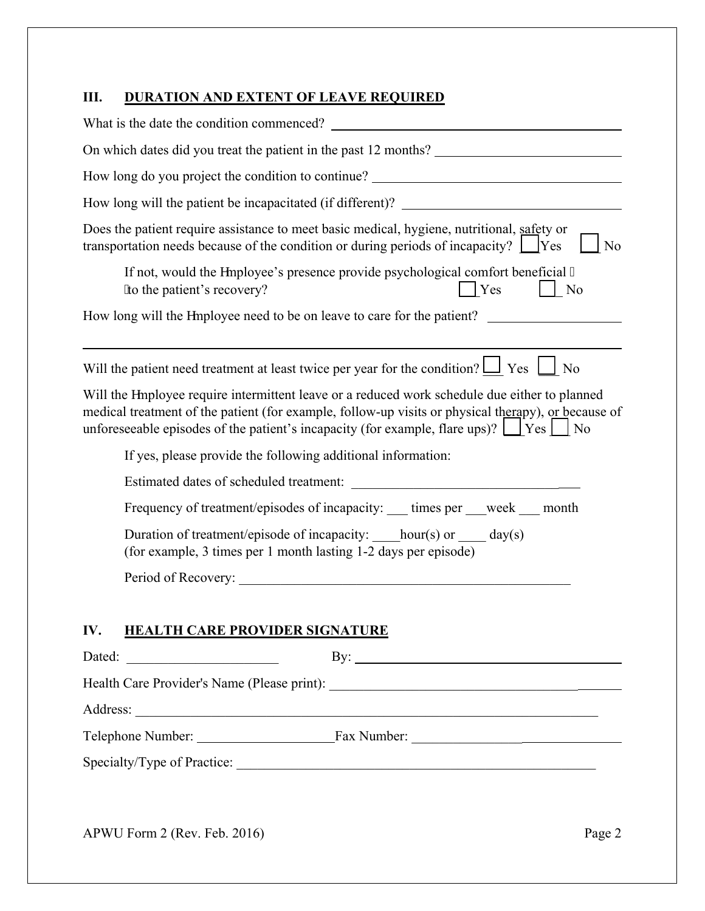# **III. DURATION AND EXTENT OF LEAVE REQUIRED**

| How long do you project the condition to continue? ______________________________                                                                                                                                                                                                                         |  |  |
|-----------------------------------------------------------------------------------------------------------------------------------------------------------------------------------------------------------------------------------------------------------------------------------------------------------|--|--|
|                                                                                                                                                                                                                                                                                                           |  |  |
| Does the patient require assistance to meet basic medical, hygiene, nutritional, safety or<br>transportation needs because of the condition or during periods of incapacity? $\Box$ Yes<br>N <sub>o</sub>                                                                                                 |  |  |
| If not, would the gmployee's presence provide psychological comfort beneficial "<br>Yes<br>'to the patient's recovery?<br>$\vert$   No                                                                                                                                                                    |  |  |
| How long will the gmployee need to be on leave to care for the patient?                                                                                                                                                                                                                                   |  |  |
|                                                                                                                                                                                                                                                                                                           |  |  |
| Will the patient need treatment at least twice per year for the condition? $\Box$ Yes $\Box$ No                                                                                                                                                                                                           |  |  |
| Will the gmployee require intermittent leave or a reduced work schedule due either to planned<br>medical treatment of the patient (for example, follow-up visits or physical therapy), or because of<br>unforeseeable episodes of the patient's incapacity (for example, flare ups)? $\Box$ Yes $\Box$ No |  |  |
| If yes, please provide the following additional information:                                                                                                                                                                                                                                              |  |  |
|                                                                                                                                                                                                                                                                                                           |  |  |
| Frequency of treatment/episodes of incapacity: ____ times per ___week ___ month                                                                                                                                                                                                                           |  |  |
| Duration of treatment/episode of incapacity: ____hour(s) or _____ day(s)<br>(for example, 3 times per 1 month lasting 1-2 days per episode)                                                                                                                                                               |  |  |
|                                                                                                                                                                                                                                                                                                           |  |  |
|                                                                                                                                                                                                                                                                                                           |  |  |
| IV.<br><b>HEALTH CARE PROVIDER SIGNATURE</b>                                                                                                                                                                                                                                                              |  |  |
| By: $\qquad \qquad$<br>Dated:<br><u> 1980 - Johann Barnett, fransk politik (</u>                                                                                                                                                                                                                          |  |  |
|                                                                                                                                                                                                                                                                                                           |  |  |
|                                                                                                                                                                                                                                                                                                           |  |  |
|                                                                                                                                                                                                                                                                                                           |  |  |
|                                                                                                                                                                                                                                                                                                           |  |  |
|                                                                                                                                                                                                                                                                                                           |  |  |